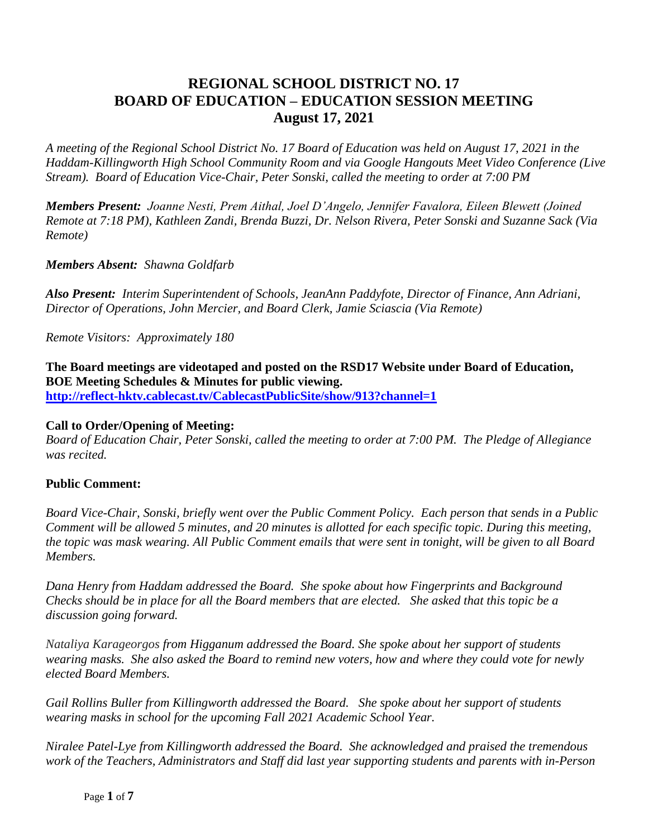## **REGIONAL SCHOOL DISTRICT NO. 17 BOARD OF EDUCATION – EDUCATION SESSION MEETING August 17, 2021**

*A meeting of the Regional School District No. 17 Board of Education was held on August 17, 2021 in the Haddam-Killingworth High School Community Room and via Google Hangouts Meet Video Conference (Live Stream). Board of Education Vice-Chair, Peter Sonski, called the meeting to order at 7:00 PM*

*Members Present: Joanne Nesti, Prem Aithal, Joel D'Angelo, Jennifer Favalora, Eileen Blewett (Joined Remote at 7:18 PM), Kathleen Zandi, Brenda Buzzi, Dr. Nelson Rivera, Peter Sonski and Suzanne Sack (Via Remote)*

*Members Absent: Shawna Goldfarb*

*Also Present: Interim Superintendent of Schools, JeanAnn Paddyfote, Director of Finance, Ann Adriani, Director of Operations, John Mercier, and Board Clerk, Jamie Sciascia (Via Remote)*

*Remote Visitors: Approximately 180* 

**The Board meetings are videotaped and posted on the RSD17 Website under Board of Education, BOE Meeting Schedules & Minutes for public viewing. <http://reflect-hktv.cablecast.tv/CablecastPublicSite/show/913?channel=1>**

#### **Call to Order/Opening of Meeting:**

*Board of Education Chair, Peter Sonski, called the meeting to order at 7:00 PM. The Pledge of Allegiance was recited.*

## **Public Comment:**

*Board Vice-Chair, Sonski, briefly went over the Public Comment Policy. Each person that sends in a Public Comment will be allowed 5 minutes, and 20 minutes is allotted for each specific topic. During this meeting, the topic was mask wearing. All Public Comment emails that were sent in tonight, will be given to all Board Members.*

*Dana Henry from Haddam addressed the Board. She spoke about how Fingerprints and Background Checks should be in place for all the Board members that are elected. She asked that this topic be a discussion going forward.*

*Nataliya Karageorgos from Higganum addressed the Board. She spoke about her support of students wearing masks. She also asked the Board to remind new voters, how and where they could vote for newly elected Board Members.* 

*Gail Rollins Buller from Killingworth addressed the Board. She spoke about her support of students wearing masks in school for the upcoming Fall 2021 Academic School Year.*

*Niralee Patel-Lye from Killingworth addressed the Board. She acknowledged and praised the tremendous work of the Teachers, Administrators and Staff did last year supporting students and parents with in-Person*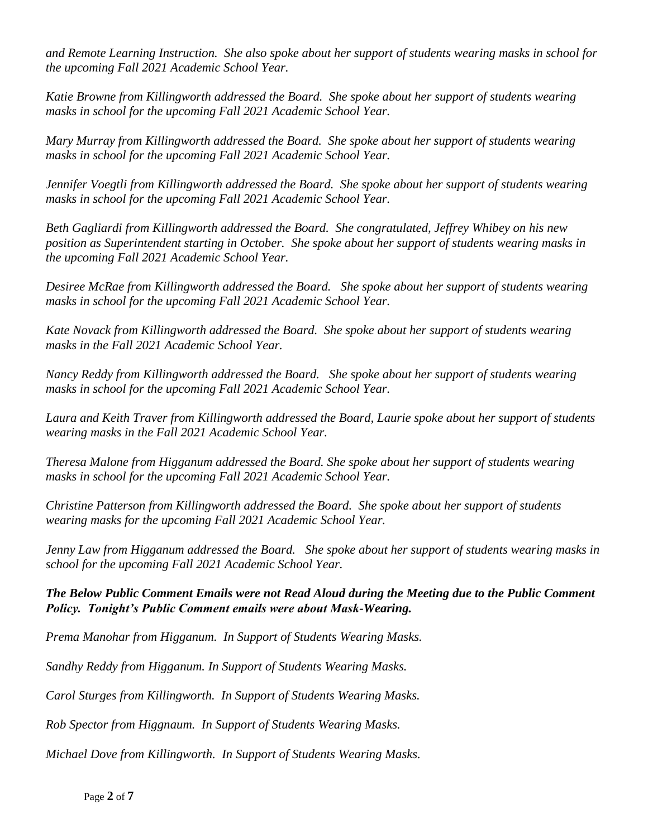*and Remote Learning Instruction. She also spoke about her support of students wearing masks in school for the upcoming Fall 2021 Academic School Year.*

*Katie Browne from Killingworth addressed the Board. She spoke about her support of students wearing masks in school for the upcoming Fall 2021 Academic School Year.*

*Mary Murray from Killingworth addressed the Board. She spoke about her support of students wearing masks in school for the upcoming Fall 2021 Academic School Year.*

*Jennifer Voegtli from Killingworth addressed the Board. She spoke about her support of students wearing masks in school for the upcoming Fall 2021 Academic School Year.*

*Beth Gagliardi from Killingworth addressed the Board. She congratulated, Jeffrey Whibey on his new position as Superintendent starting in October. She spoke about her support of students wearing masks in the upcoming Fall 2021 Academic School Year.*

*Desiree McRae from Killingworth addressed the Board. She spoke about her support of students wearing masks in school for the upcoming Fall 2021 Academic School Year.*

Kate Novack from Killingworth addressed the Board. She spoke about her support of students wearing *masks in the Fall 2021 Academic School Year.*

*Nancy Reddy from Killingworth addressed the Board. She spoke about her support of students wearing masks in school for the upcoming Fall 2021 Academic School Year.*

*Laura and Keith Traver from Killingworth addressed the Board, Laurie spoke about her support of students wearing masks in the Fall 2021 Academic School Year.*

*Theresa Malone from Higganum addressed the Board. She spoke about her support of students wearing masks in school for the upcoming Fall 2021 Academic School Year.*

*Christine Patterson from Killingworth addressed the Board. She spoke about her support of students wearing masks for the upcoming Fall 2021 Academic School Year.*

*Jenny Law from Higganum addressed the Board. She spoke about her support of students wearing masks in school for the upcoming Fall 2021 Academic School Year.*

*The Below Public Comment Emails were not Read Aloud during the Meeting due to the Public Comment Policy. Tonight's Public Comment emails were about Mask-Wearing.*

*Prema Manohar from Higganum. In Support of Students Wearing Masks.*

*Sandhy Reddy from Higganum. In Support of Students Wearing Masks.*

*Carol Sturges from Killingworth. In Support of Students Wearing Masks.*

*Rob Spector from Higgnaum. In Support of Students Wearing Masks.* 

*Michael Dove from Killingworth. In Support of Students Wearing Masks.*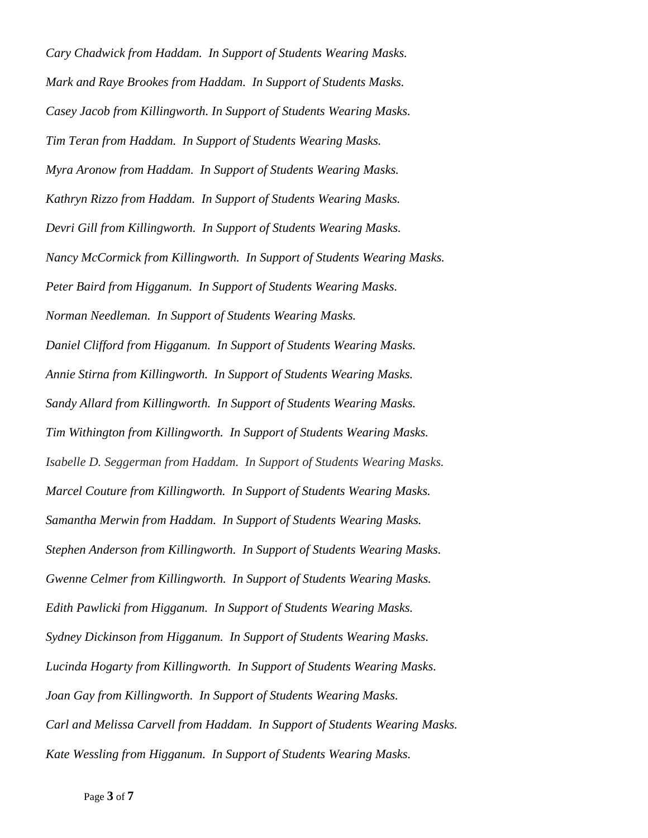*Cary Chadwick from Haddam. In Support of Students Wearing Masks. Mark and Raye Brookes from Haddam. In Support of Students Masks. Casey Jacob from Killingworth. In Support of Students Wearing Masks. Tim Teran from Haddam. In Support of Students Wearing Masks. Myra Aronow from Haddam. In Support of Students Wearing Masks. Kathryn Rizzo from Haddam. In Support of Students Wearing Masks. Devri Gill from Killingworth. In Support of Students Wearing Masks. Nancy McCormick from Killingworth. In Support of Students Wearing Masks. Peter Baird from Higganum. In Support of Students Wearing Masks. Norman Needleman. In Support of Students Wearing Masks. Daniel Clifford from Higganum. In Support of Students Wearing Masks. Annie Stirna from Killingworth. In Support of Students Wearing Masks. Sandy Allard from Killingworth. In Support of Students Wearing Masks. Tim Withington from Killingworth. In Support of Students Wearing Masks. Isabelle D. Seggerman from Haddam. In Support of Students Wearing Masks. Marcel Couture from Killingworth. In Support of Students Wearing Masks. Samantha Merwin from Haddam. In Support of Students Wearing Masks. Stephen Anderson from Killingworth. In Support of Students Wearing Masks. Gwenne Celmer from Killingworth. In Support of Students Wearing Masks. Edith Pawlicki from Higganum. In Support of Students Wearing Masks. Sydney Dickinson from Higganum. In Support of Students Wearing Masks. Lucinda Hogarty from Killingworth. In Support of Students Wearing Masks. Joan Gay from Killingworth. In Support of Students Wearing Masks. Carl and Melissa Carvell from Haddam. In Support of Students Wearing Masks. Kate Wessling from Higganum. In Support of Students Wearing Masks.*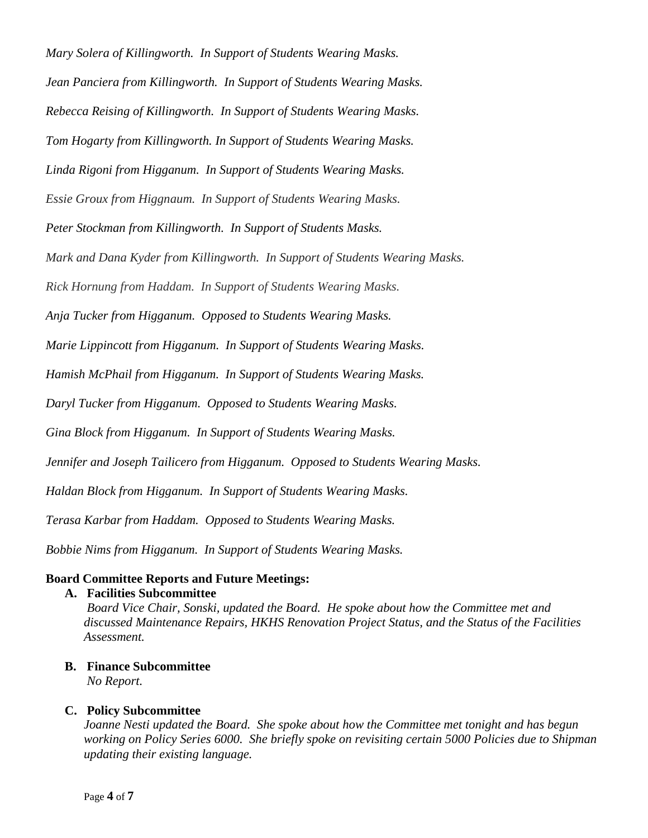*Mary Solera of Killingworth. In Support of Students Wearing Masks.*

*Jean Panciera from Killingworth. In Support of Students Wearing Masks.*

*Rebecca Reising of Killingworth. In Support of Students Wearing Masks.*

*Tom Hogarty from Killingworth. In Support of Students Wearing Masks.* 

*Linda Rigoni from Higganum. In Support of Students Wearing Masks.*

*Essie Groux from Higgnaum. In Support of Students Wearing Masks.*

*Peter Stockman from Killingworth. In Support of Students Masks.*

*Mark and Dana Kyder from Killingworth. In Support of Students Wearing Masks.*

*Rick Hornung from Haddam. In Support of Students Wearing Masks.*

*Anja Tucker from Higganum. Opposed to Students Wearing Masks.*

*Marie Lippincott from Higganum. In Support of Students Wearing Masks.*

*Hamish McPhail from Higganum. In Support of Students Wearing Masks.*

*Daryl Tucker from Higganum. Opposed to Students Wearing Masks.*

*Gina Block from Higganum. In Support of Students Wearing Masks.*

*Jennifer and Joseph Tailicero from Higganum. Opposed to Students Wearing Masks.*

*Haldan Block from Higganum. In Support of Students Wearing Masks.*

*Terasa Karbar from Haddam. Opposed to Students Wearing Masks.*

*Bobbie Nims from Higganum. In Support of Students Wearing Masks.*

## **Board Committee Reports and Future Meetings:**

#### **A. Facilities Subcommittee**

*Board Vice Chair, Sonski, updated the Board. He spoke about how the Committee met and discussed Maintenance Repairs, HKHS Renovation Project Status, and the Status of the Facilities Assessment.*

# **B. Finance Subcommittee**

*No Report.*

## **C. Policy Subcommittee**

*Joanne Nesti updated the Board. She spoke about how the Committee met tonight and has begun working on Policy Series 6000. She briefly spoke on revisiting certain 5000 Policies due to Shipman updating their existing language.*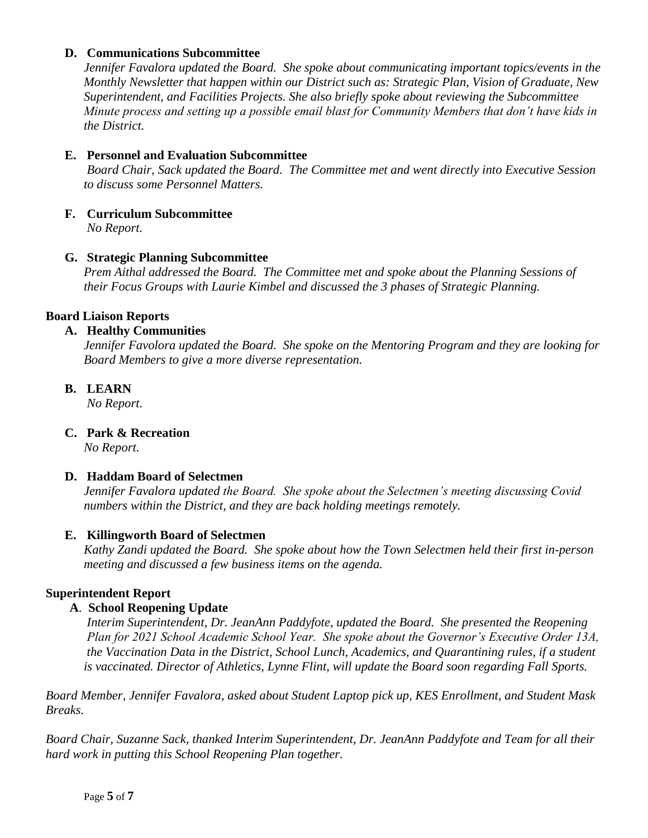### **D. Communications Subcommittee**

*Jennifer Favalora updated the Board. She spoke about communicating important topics/events in the Monthly Newsletter that happen within our District such as: Strategic Plan, Vision of Graduate, New Superintendent, and Facilities Projects. She also briefly spoke about reviewing the Subcommittee Minute process and setting up a possible email blast for Community Members that don't have kids in the District.*

## **E. Personnel and Evaluation Subcommittee**

*Board Chair*, *Sack updated the Board. The Committee met and went directly into Executive Session to discuss some Personnel Matters.*

### **F. Curriculum Subcommittee**

*No Report.*

### **G. Strategic Planning Subcommittee**

*Prem Aithal addressed the Board. The Committee met and spoke about the Planning Sessions of their Focus Groups with Laurie Kimbel and discussed the 3 phases of Strategic Planning.*

## **Board Liaison Reports**

#### **A. Healthy Communities**

*Jennifer Favolora updated the Board. She spoke on the Mentoring Program and they are looking for Board Members to give a more diverse representation.*

### **B. LEARN**

*No Report.*

#### **C. Park & Recreation**

*No Report.*

#### **D. Haddam Board of Selectmen**

*Jennifer Favalora updated the Board. She spoke about the Selectmen's meeting discussing Covid numbers within the District, and they are back holding meetings remotely.*

#### **E. Killingworth Board of Selectmen**

*Kathy Zandi updated the Board. She spoke about how the Town Selectmen held their first in-person meeting and discussed a few business items on the agenda.* 

#### **Superintendent Report**

#### **A**. **School Reopening Update**

*Interim Superintendent, Dr. JeanAnn Paddyfote, updated the Board. She presented the Reopening Plan for 2021 School Academic School Year. She spoke about the Governor's Executive Order 13A, the Vaccination Data in the District, School Lunch, Academics, and Quarantining rules, if a student is vaccinated. Director of Athletics, Lynne Flint, will update the Board soon regarding Fall Sports.*

*Board Member, Jennifer Favalora, asked about Student Laptop pick up, KES Enrollment, and Student Mask Breaks.* 

*Board Chair, Suzanne Sack, thanked Interim Superintendent, Dr. JeanAnn Paddyfote and Team for all their hard work in putting this School Reopening Plan together.*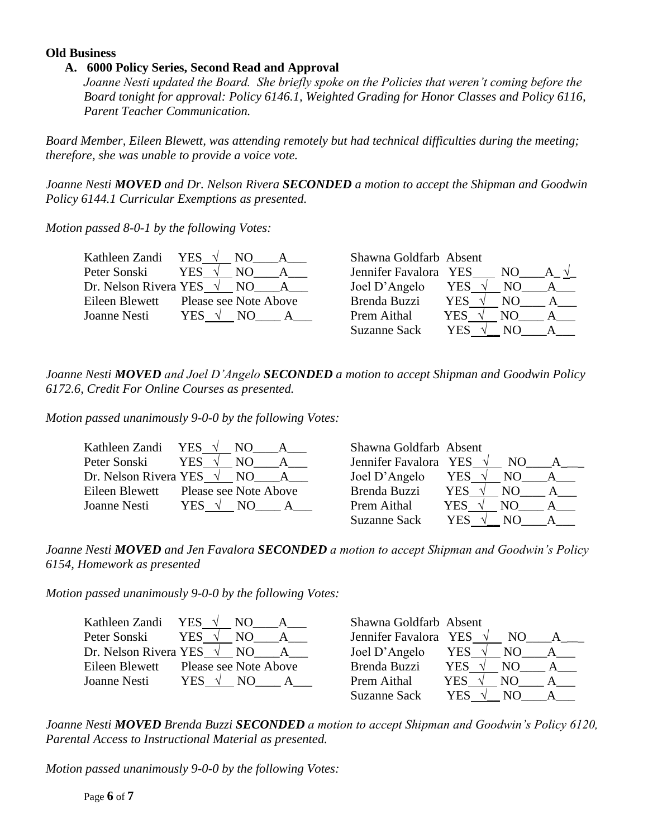#### **Old Business**

#### **A. 6000 Policy Series, Second Read and Approval**

*Joanne Nesti updated the Board. She briefly spoke on the Policies that weren't coming before the Board tonight for approval: Policy 6146.1, Weighted Grading for Honor Classes and Policy 6116, Parent Teacher Communication.*

*Board Member, Eileen Blewett, was attending remotely but had technical difficulties during the meeting; therefore, she was unable to provide a voice vote.*

*Joanne Nesti MOVED and Dr. Nelson Rivera SECONDED a motion to accept the Shipman and Goodwin Policy 6144.1 Curricular Exemptions as presented.*

*Motion passed 8-0-1 by the following Votes:*

| Kathleen Zandi YES              | NO.                                | Shawna Goldfarb Absent |                |     |              |
|---------------------------------|------------------------------------|------------------------|----------------|-----|--------------|
| Peter Sonski                    | <b>YES</b><br>NO.                  | Jennifer Favalora YES  |                | NO. |              |
| Dr. Nelson Rivera YES $\sqrt{}$ | NO.                                | Joel D'Angelo          | YES            | NO. | $\mathbf{A}$ |
| Eileen Blewett                  | Please see Note Above              | Brenda Buzzi           | YES $\sqrt{ }$ | NO. | $\mathbf{A}$ |
| Joanne Nesti                    | YES $\sqrt{ }$<br>$\sim$ NO $\sim$ | Prem Aithal            | YES.           | NO. | $\mathbf{A}$ |
|                                 |                                    | Suzanne Sack           | YES            | NO. |              |

*Joanne Nesti MOVED and Joel D'Angelo SECONDED a motion to accept Shipman and Goodwin Policy 6172.6, Credit For Online Courses as presented.*

*Motion passed unanimously 9-0-0 by the following Votes:*

| Kathleen Zandi YES $\sqrt{}$ | NO.                                   | Shawna Goldfarb Absent          |                |     |              |
|------------------------------|---------------------------------------|---------------------------------|----------------|-----|--------------|
| Peter Sonski                 | YES $\sqrt{ }$<br>NO.<br>$\mathbf{A}$ | Jennifer Favalora YES $\sqrt{}$ |                | NO. |              |
|                              | Dr. Nelson Rivera YES $\sqrt{NQ}$ A   | Joel D'Angelo                   | YES √          | NO. |              |
| Eileen Blewett               | Please see Note Above                 | Brenda Buzzi                    | YES $\sqrt{ }$ | NO. | $\mathbf{A}$ |
| Joanne Nesti                 | YES $\sqrt{ }$<br>NO.                 | Prem Aithal                     | YES.           | N() |              |
|                              |                                       | Suzanne Sack                    | YES            | NO. |              |

*Joanne Nesti MOVED and Jen Favalora SECONDED a motion to accept Shipman and Goodwin's Policy 6154, Homework as presented* 

*Motion passed unanimously 9-0-0 by the following Votes:*

| Kathleen Zandi YES $\sqrt{}$        | NO.                                            | Shawna Goldfarb Absent |                   |  |
|-------------------------------------|------------------------------------------------|------------------------|-------------------|--|
| Peter Sonski                        | <b>YES</b><br>NO.<br>$\sqrt{ }$<br>$\mathbf A$ | Jennifer Favalora YES  | $\sqrt{ }$<br>NO. |  |
| Dr. Nelson Rivera YES $\sqrt{N}$ NO | $A_{-}$                                        | Joel D'Angelo          | YES √<br>NO.      |  |
| Eileen Blewett                      | Please see Note Above                          | Brenda Buzzi           | YES<br>NO.        |  |
| <b>Joanne Nesti</b>                 | YES $\sqrt{ }$<br>NO.                          | Prem Aithal            | YES.<br>NO.       |  |
|                                     |                                                | <b>Suzanne Sack</b>    | YES<br>NO.        |  |

*Joanne Nesti MOVED Brenda Buzzi SECONDED a motion to accept Shipman and Goodwin's Policy 6120, Parental Access to Instructional Material as presented.*

*Motion passed unanimously 9-0-0 by the following Votes:*